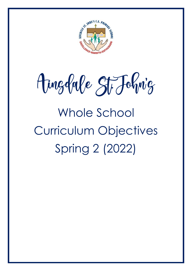

Ainglabe St Johnig

# Whole School Curriculum Objectives Spring 2 (2022)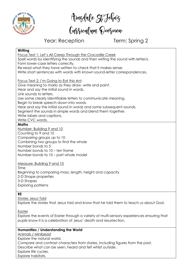

Amgdale St Fohnig<br>Curriculum Qverview

Year: Reception Term: Spring 2

#### **Writing**

Focus Text 1: Let's All Creep Through the Crocodile Creek Spell words by identifying the sounds and then writing the sound with letter/s. Form lower-case letters correctly. Re-read what they have written to check that it makes sense. Write short sentences with words with known sound-letter correspondences.

Focus Text 2: I'm Going to Eat this Ant

Give meaning to marks as they draw, write and paint.

Hear and say the initial sound in words.

Link sounds to letters.

Use some clearly identifiable letters to communicate meaning.

Begin to break speech down into words.

Hear and say the initial sound in words and some subsequent sounds.

Seament the sounds in simple words and blend them together.

Write labels and captions.

Write CVC words.

#### **Maths**

Number: Building 9 and 10

Counting to 9 and 10

Comparing groups up to 10

Combining two groups to find the whole

Number bonds to 5

Number bonds to 10 – ten frame

Number bonds to 10 – part whole model

Measure: Building 9 and 10

Time Beginning to comparing mass, length, height and capacity 2-D Shape properties 3-D Shapes Exploring patterns

### **RE**

Stories Jesus Told

Explore the stories that Jesus told and know that he told them to teach us about God.

Easter

Explore the events of Easter through a variety of multi-sensory experiences ensuring that pupils know it is a celebration of Jesus' death and resurrection.

### **Humanities / Understanding the World**

Animals / Minibeast Explore the natural world.

Compare and contrast characters from stories, including figures from the past.

Describe what can be seen, heard and felt whilst outside.

Explore life cycles.

Explore habitats.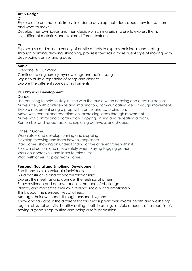#### **Art & Design**

DT

Explore different materials freely, in order to develop their ideas about how to use them and what to make.

Develop their own ideas and then decide which materials to use to express them. Join different materials and explore different textures.

Art

Explore, use and refine a variety of artistic effects to express their ideas and feelings. Through painting, drawing, sketching, progress towards a more fluent style of moving, with developing control and grace.

#### **Music**

#### Everyone! & Our World

Continue to sing nursery rhymes, songs and action songs. Begin to build a repertoire of songs and dances. Explore the different sounds of instruments.

### **PE / Physical Development**

Dance

Use counting to help to stay in time with the music when copying and creating actions. Move safely with confidence and imagination, communicating ideas through movement. Explore movement using a prop with control and co-ordination.

Move with control and coordination, expressing ideas through movement.

Move with control and coordination, copying, linking and repeating actions.

Remember and repeat actions, exploring pathways and shapes.

#### Fitness / Games

Work safely and develop running and stopping. Develop throwing and learn how to keep score.

Play games showing an understanding of the different roles within it.

Follow instructions and move safely when playing tagging games.

Work co-operatively and learn to take turns.

Work with others to play team games.

### **Personal, Social and Emotional Development**

See themselves as valuable individuals.

Build constructive and respectful relationships

Express their feelings and consider the feelings of others.

Show resilience and perseverance in the face of challenge.

Identify and moderate their own feelings socially and emotionally.

Think about the perspectives of others.

Manage their own needs through personal hygiene.

Know and talk about the different factors that support their overall health and wellbeing:

regular physical activity, healthy eating, tooth brushing, sensible amounts of 'screen time',

having a good sleep routine and being a safe pedestrian.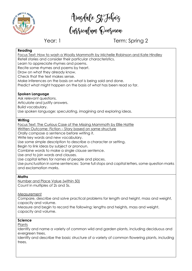

Aingdale St Fohnig<br>Cussiculum Qvesview

# Year: 1 Term: Spring 2

#### **Reading**

Focus Text: How to wash a Woolly Mammoth by Michelle Robinson and Kate Hindley

Retell stories and consider their particular characteristics.

Learn to appreciate rhymes and poems.

Recite some rhymes and poems by heart.

Draw on what they already know.

Check that the text makes sense.

Make inferences on the basis on what is being said and done.

Predict what might happen on the basis of what has been read so far.

#### **Spoken Language**

Ask relevant questions.

Articulate and justify answers.

Build vocabulary.

Use spoken language: speculating, imagining and exploring ideas.

#### **Writing**

Focus Text: The Curious Case of the Missing Mammoth by Ellie Hattie

Written Outcome: Fiction – Story based on same structure

Orally compose a sentence before writing it.

Write key words and new vocabulary.

Use some simple description to describe a character or setting.

Begin to link ideas by subject or pronoun.

Combine words to make a single clause sentence.

Use *and* to join words and clauses.

Use capital letters for names of people and places.

Use punctuation in some sentences: Some full stops and capital letters, some question marks and exclamation marks.

#### **Maths**

Number and Place Value (within 50) Count in multiples of 2s and 5s.

Measurement

Compare, describe and solve practical problems for length and height, mass and weight, capacity and volume.

Measure and begin to record the following: lengths and heights, mass and weight, capacity and volume.

#### **Science**

**Plants** 

Identify and name a variety of common wild and garden plants, including deciduous and evergreen trees.

Identify and describe the basic structure of a variety of common flowering plants, including trees.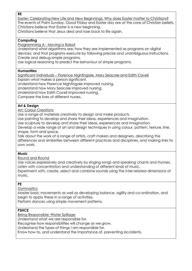**RE**

Easter: Celebrating New Life and New Beginnings: Why does Easter matter to Christians? The events of Palm Sunday, Good Friday and Easter day are at the core of Christian beliefs. Christians believe that Easter is a new beginning.

Christians believe that Jesus died and rose back to life again.

#### **Computing**

Programming A - Moving a Robot

Understand what algorithms are; how they are implemented as programs on digital devices; and that programs execute by following precise and unambiguous instructions. Create and debug simple programs.

Use logical reasoning to predict the behaviour of simple programs.

#### **Humanities**

Significant Individuals – Florence Nightingale, Mary Seacole and Edith Cavell

Explain what makes a person significant.

Understand how Florence Nightingale improved nursing.

Understand how Mary Seacole improved nursing.

Understand how Edith Cavell improved nursing.

Compare the lives of different nurses.

#### **Art & Design**

Art: Colour Creations

Use a range of materials creatively to design and make products.

Use painting to develop and share their ideas, experiences and imagination.

Use sculpture to develop and share their ideas, experiences and imagination.

Develop a wide range of art and design techniques in using colour, pattern, texture, line, shape, form and space.

Talk about the work of a range of artists, craft makers and designers, describing the differences and similarities between different practices and disciplines, and making links to own work.

#### **Music**

Round and Round

Use voices expressively and creatively by singing songs and speaking chants and rhymes. Listen with concentration and understanding of different kinds of music.

Experiment with, create, select and combine sounds using the inter-related dimensions of music.

#### **PE**

**Gymnastics** 

Master basic movements as well as developing balance, agility and co-ordination, and begin to apply these in a range of activities**.**

Perform dances using simple movement patterns.

#### **PSHCE**

Being Responsible: Water Spillage

Understand what we are responsible for.

Recognise how responsibilities will change as we grow.

Understand the types of things I am responsible for.

Know how to, and understand the importance of, preventing accidents.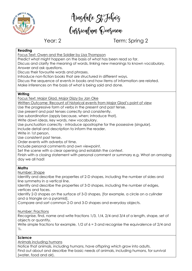

Aingdale St Fohnig<br>Cussiculum Qvesview

# Year: 2 Term: Spring 2

#### **Reading**

Focus Text: Owen and the Soldier by Lisa Thompson

Predict what might happen on the basis of what has been read so far.

Discuss and clarify the meaning of words, linking new meanings to known vocabulary. Answer and ask questions.

Discuss their favourite words and phrases.

Introduce non-fiction books that are structured in different ways.

Discuss the sequence of events in books and how items of information are related.

Make inferences on the basis of what is being said and done.

#### **Writing**

Focus Text: Major Glad, Major Dizzy by Jan Oke

Written Outcome: Recount of historical events from Major Glad's point of view

Use the progressive form of verbs in the present and past tense.

Use present and past tenses correctly and consistently.

Use subordination (apply because, when; introduce that).

Write down ideas, key words, new vocabulary.

Use punctuation correctly - introduce apostrophe for the possessive (singular).

Include detail and description to inform the reader.

Write in 1st person.

Use consistent past tense.

Order events with adverbs of time.

Include personal comments and own viewpoint.

Set the scene with a clear opening and establish the context.

Finish with a closing statement with personal comment or summary e.g. What an amazing day we all had!

#### **Maths**

Number: Shape

Identify and describe the properties of 2-D shapes, including the number of sides and line symmetry in a vertical line.

Identify and describe the properties of 3-D shapes, including the number of edges, vertices and faces.

Identify 2-D shapes on the surface of 3-D shapes, [for example, a circle on a cylinder and a triangle on a pyramid].

Compare and sort common 2-D and 3-D shapes and everyday objects.

Number: Fractions

Recognise, find, name and write fractions 1/3, 1/4, 2/4 and 3/4 of a length, shape, set of objects or quantity.

Write simple fractions for example,  $1/2$  of  $6 = 3$  and recognise the equivalence of 2/4 and  $\frac{1}{2}$ .

#### **Science**

Animals including humans

Notice that animals, including humans, have offspring which grow into adults. Find out about and describe the basic needs of animals, including humans, for survival (water, food and air).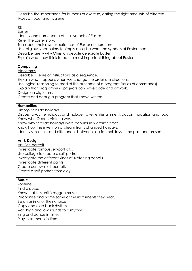Describe the importance for humans of exercise, eating the right amounts of different types of food, and hygiene.

#### **RE**

Easter

Identify and name some of the symbols of Easter.

Retell the Easter story.

Talk about their own experiences of Easter celebrations.

Use religious vocabulary to simply describe what the symbols of Easter mean.

Describe briefly why Christian people celebrate Easter.

Explain what they think to be the most important thing about Easter.

### **Computing**

Algorithms

Describe a series of instructions as a sequence.

Explain what happens when we change the order of instructions.

Use logical reasoning to predict the outcome of a program (series of commands).

Explain that programming projects can have code and artwork.

Design an algorithm.

Create and debug a program that I have written.

#### **Humanities**

History- Seaside holidays

Discuss favourite holidays and include travel, entertainment, accommodation and food. Know who Queen Victoria was.

Know why seaside holidays were popular in Victorian times.

Know how the invention of steam trains changed holidays.

Identify similarities and differences between seaside holidays in the past and present.

### **Art & Design**

Art: Self-portrait

Investigate famous self-portraits. Use collage to create a self-portrait.

Investigate the different kinds of sketching pencils.

Investigate different paints.

Create our own self-portrait.

Create a self-portrait from clay.

#### **Music**

**Zootime** Find a pulse. Know that this unit is reggae music. Recognise and name some of the instruments they hear. Be an animal of their choice. Copy and clap back rhythms. Add high and low sounds to a rhythm. Sing and dance in time. Play instruments in time.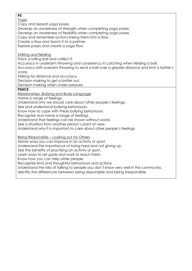#### **PE**

Yoga

Copy and repeat yoga poses.

Develop an awareness of strength when completing yoga poses.

Develop an awareness of flexibility when completing yoga poses.

Copy and remember actions linking them into a flow.

Create a flow and teach it to a partner.

Explore poses and create a yoga flow.

Striking and fielding

Track a rolling ball and collect it.

Accuracy in underarm throwing and consistency in catching when fielding a ball.

Accuracy with overarm throwing to send a ball over a greater distance and limit a batter's score.

Striking for distance and accuracy.

Decision making to get a batter out.

Decision making when under pressure.

#### **PSHCE**

Relationships: Bullying and Body Language

Name a range of feelings.

Understand why we should care about other people's feelings.

See and understand bullying behaviours.

Know how to cope with these bullying behaviours.

Recognise and name a range of feelings.

Understand that feelings can be shown without words.

See a situation from another person's point of view.

Understand why it is important to care about other people's feelings.

Being Responsible – Looking out for Others

Name ways you can improve in an activity or sport.

Understand the importance of trying hard and not giving up.

See the benefits of practising an activity or sport.

Learn ways to set goals and work to reach them.

Know how you can help other people.

Recognise kind and thoughtful behaviours and actions.

Understand the risks of talking to people you don't know very well in the community.

Identify the differences between being responsible and being irresponsible.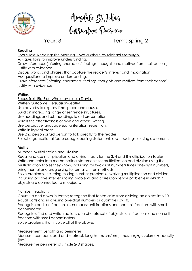

Aingdale St Fohnig<br>Cussiculum Qvesview

# Year: 3 Term: Spring 2

#### **Reading**

Focus Text: Reading: The Morning I Met a Whale by Michael Morpurgo

Ask questions to improve understanding.

Draw inferences (inferring characters' feelings, thoughts and motives from their actions); justify with evidence.

Discuss words and phrases that capture the reader's interest and imagination. Ask questions to improve understanding.

Draw inferences (inferring characters' feelings, thoughts and motives from their actions); justify with evidence.

#### **Writing**

Focus Text: Big Blue Whale by Nicola Davies

Written Outcome: Persuasion-Leaflet

Use adverbs to express time, place and cause.

Build an increasing range of sentence structures.

Use headings and sub-headings to aid presentation.

Assess the effectiveness of own and others' writing.

Use persuasive language e.g. alliteration, repetition.

Write in logical order.

Use 2nd person or 3rd person to talk directly to the reader.

Select organisational features e.g. opening statement, sub-headings, closing statement.

#### **Maths**

Number: Multiplication and Division

Recall and use multiplication and division facts for the 3, 4 and 8 multiplication tables. Write and calculate mathematical statements for multiplication and division using the multiplication tables they know, including for two-digit numbers times one-digit numbers, using mental and progressing to formal written methods.

Solve problems, including missing number problems, involving multiplication and division, including positive integer scaling problems and correspondence problems in which n objects are connected to m objects.

Number: Fractions

Count up and down in tenths; recognise that tenths arise from dividing an object into 10 equal parts and in dividing one-digit numbers or quantities by 10.

Recognise and use fractions as numbers: unit fractions and non-unit fractions with small denominators.

Recognise, find and write fractions of a discrete set of objects: unit fractions and non-unit fractions with small denominators.

Solve problems that involve all of the above.

#### Measurement: Length and perimeter

Measure, compare, add and subtract: lengths (m/cm/mm); mass (kg/g); volume/capacity  $\mathsf{l}$ /*m*l $\mathsf{l}$ .

Measure the perimeter of simple 2-D shapes.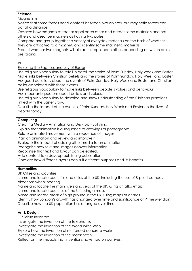#### **Science**

Magnetism

Notice that some forces need contact between two objects, but magnetic forces can act at a distance.

Observe how magnets attract or repel each other and attract some materials and not others and describe magnets as having two poles.

Compare and group together a variety of everyday materials on the basis of whether they are attracted to a magnet, and identify some magnetic materials.

Predict whether two magnets will attract or repel each other, depending on which poles are facing.

#### **RE**

Exploring the Sadness and Joy of Easter

Use religious vocabulary to retell in detail the stories of Palm Sunday, Holy Week and Easter. Make links between Christian beliefs and the stories of Palm Sunday, Holy Week and Easter. Ask good questions about the events of Palm Sunday, Holy Week and Easter and Christian belief associated with these events.

Use religious vocabulary to make links between people's values and behaviour. Ask important questions about beliefs and values.

Use religious vocabulary to describe and show understanding of the Christian practices linked with the Easter Story.

Describe the impact of the events of Palm Sunday, Holy Week and Easter on the lives of people today.

#### **Computing**

Creating Media – Animation and Desktop Publishing

Explain that animation is a sequence of drawings or photographs.

Relate animated movement with a sequence of images.

Plan an animation and review and improve it.

Evaluate the impact of adding other media to an animation.

Recognise how text and images convey information.

Recognise that text and layout can be edited.

Add content to a desktop publishing publication.

Consider how different layouts can suit different purposes and its benefits.

#### **Humanities**

UK Cities and Counties

Name and locate countries and cities of the UK, including the use of 8-point compass directions when locating.

Name and locate the main rivers and seas of the UK, using an atlas/map.

Name and locate counties of the UK, using a map.

Name and locate areas of high ground in the UK, using maps or atlases.

Identify how London's growth has changed over time and significance of Prime Meridian. Describe how the UK population has changed over time.

#### **Art & Design**

DT: British Inventors

Investigate the invention of the telephone.

Investigate the invention of the World Wide Web.

Explore how the invention of reinforced concrete works.

Investigate the invention of the mackintosh.

Reflect on the impacts that inventions have had on our lives.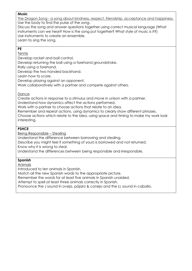#### **Music**

The Dragon Song - a song about kindness, respect, friendship, acceptance and happiness. Use the body to find the pulse of the song. Discuss the song and answer questions together using correct musical language (What

instruments can we hear? How is the song put together? What style of music is it?) Use instruments to create an ensemble.

Learn to sing the song.

#### **PE**

Tennis

Develop racket and ball control.

Develop returning the ball using a forehand groundstroke.

Rally using a forehand.

Develop the two handed backhand.

Learn how to score.

Develop playing against an opponent.

Work collaboratively with a partner and compete against others.

#### Dance

Create actions in response to a stimulus and move in unison with a partner.

Understand how dynamics affect the actions performed.

Work with a partner to choose actions that relate to an idea.

Remember and repeat actions, using dynamics to clearly show different phrases.

Choose actions which relate to the idea, using space and timing to make my work look interesting.

### **PSHCE**

Being Responsible – Stealing

Understand the difference between borrowing and stealing.

Describe you might feel if something of yours is borrowed and not returned.

Know why it is wrong to steal.

Understand the differences between being responsible and irresponsible.

### **Spanish**

Animals

Introduced to ten animals in Spanish.

Match all the new Spanish words to the appropriate picture.

Remember the words for at least five animals in Spanish unaided.

Attempt to spell at least three animals correctly in Spanish.

Pronounce the J sound in oveja, pájaro & conejo and the LL sound in caballo.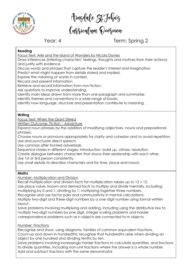

Aingdale St Fohnig<br>Cussiculum Qvesview

# Year: 4 Term: Spring 2

#### **Reading**

Focus Text: Ariki and the Island of Wonders by Nicola Davies

Draw inferences (inferring characters' feelings, thoughts and motives from their actions) and justify with evidence.

Discuss words and phrases that capture the reader's interest and imagination.

Predict what might happen from details stated and implied.

Explore the meaning of words in context.

Record and present information.

Retrieve and record information from non-fiction.

Ask questions to improve understanding.

Identify main ideas drawn from more than one paragraph and summarise.

Identify themes and conventions in a wide range of books.

Identify how language, structure and presentation contribute to meaning.

#### **Writing**

Focus Text: When the Giant Stirred

Written Outcome: Fiction – Adventure

Expand noun phrases by the addition of modifying adjectives, nouns and prepositional phrases.

Choose nouns or pronouns appropriately for clarity and cohesion and to avoid repetition. Use and punctuate direct speech.

Use commas after fronted adverbials.

Sequence stories in different stages: introduction, build up, climax, resolution.

Create dialogue between characters that shows their relationship with each other.

Use 1st or 3rd person consistently.

Use small details to describe characters and for time, place and mood.

#### **Maths**

Number: Multiplication and Division

Recall multiplication and division facts for multiplication tables up to 12 × 12.

Use place value, known and derived facts to multiply and divide mentally, including:

multiplying by 0 and 1; dividing by 1; multiplying together three numbers.

Recognise and use factor pairs and commutativity in mental calculations.

Multiply two-digit and three-digit numbers by a one-digit number using formal written layout.

Solve problems involving multiplying and adding, including using the distributive law to multiply two-digit numbers by one digit, integer scaling problems and harder correspondence problems such as n objects are connected to m objects.

#### Number: Fractions

Recognise and show, using diagrams, families of common equivalent fractions. Count up and down in hundredths; recognise that hundredths arise when dividing an object by one hundred and dividing tenths by ten.

Solve problems involving increasingly harder fractions to calculate quantities, and fractions to divide quantities, including non-unit fractions where the answer is a whole number. Add and subtract fractions with the same denominator.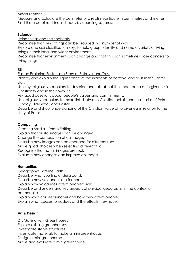#### Measurement

Measure and calculate the perimeter of a rectilinear figure in centimetres and metres. Find the area of rectilinear shapes by counting squares.

#### **Science**

Living things and their habitats

Recognise that living things can be grouped in a number of ways.

Explore and use classification keys to help group, identify and name a variety of living things in their local and wider environment.

Recognise that environments can change and that this can sometimes pose dangers to living things.

#### **RE**

Easter: Exploring Easter as a Story of Betrayal and Trust

Identify and explain the significance of the incidents of betrayal and trust in the Easter story.

Use key religious vocabulary to describe and talk about the importance of forgiveness in Christianity and in their own life.

Ask good questions about people's values and commitments.

Use religious vocabulary to make links between Christian beliefs and the stories of Palm Sunday, Holy week and Easter.

Describe and show understanding of the Christian value of forgiveness in relation to the story of Peter.

#### **Computing**

Creating Media – Photo Editing

Explain that digital images can be changed.

Change the composition of an image.

Describe how images can be changed for different uses.

Make good choices when selecting different tools.

Recognise that not all images are real.

Evaluate how changes can improve an image.

#### **Humanities**

Geography: Extreme Earth

Describe what you find underground.

Describe how volcanoes are formed.

Explain how volcanoes affect people's lives.

Describe and understand key aspects of physical geography in the context of earthquakes.

Explain what causes tsunamis and how they affect people.

Explain what causes tornadoes and the effects they have.

#### **Art & Design**

DT: Making Mini Greenhouses

Explore existing greenhouses.

Investigate stable structures.

Investigate materials to make a mini greenhouse.

Design a mini greenhouse.

Make and evaluate a mini greenhouse.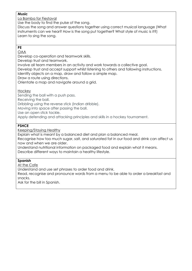#### **Music**

La Bamba for Fiestaval

Use the body to find the pulse of the song.

Discuss the song and answer questions together using correct musical language (What instruments can we hear? How is the song put together? What style of music is it?) Learn to sing the song.

### **PE**

OAA

Develop co-operation and teamwork skills.

Develop trust and teamwork.

Involve all team members in an activity and work towards a collective goal.

Develop trust and accept support whilst listening to others and following instructions.

Identify objects on a map, draw and follow a simple map.

Draw a route using directions.

Orientate a map and navigate around a grid.

#### **Hockey**

Sending the ball with a push pass.

Receiving the ball.

Dribbling using the reverse stick (Indian dribble).

Moving into space after passing the ball.

Use an open stick tackle.

Apply defending and attacking principles and skills in a hockey tournament.

#### **PSHCE**

Keeping/Staying Healthy

Explain what is meant by a balanced diet and plan a balanced meal.

Recognise how too much sugar, salt, and saturated fat in our food and drink can affect us now and when we are older.

Understand nutritional information on packaged food and explain what it means.

Describe different ways to maintain a healthy lifestyle.

#### **Spanish**

At the Cafe

Understand and use set phrases to order food and drink.

Read, recognise and pronounce words from a menu to be able to order a breakfast and snacks.

Ask for the bill in Spanish.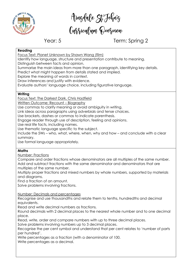

Aingdale St Fohnig<br>Cussiculum Qvesview

# Year: 5 Term: Spring 2

#### **Reading**

Focus Text: Planet Unknown by Shawn Wang (film)

Identify how language, structure and presentation contribute to meaning.

Distinguish between facts and opinion.

Summarise the main ideas from more than one paragraph, identifying key details.

Predict what might happen from details stated and implied.

Explore the meaning of words in context.

Draw inferences and justify with evidence.

Evaluate authors' language choice, including figurative language.

#### **Writing**

Focus Text: The Darkest Dark, Chris Hadfield

Written Outcome: Recount – Biography

Use commas to clarify meaning or avoid ambiguity in writing.

Link ideas across paragraphs using adverbials and tense choices.

Use brackets, dashes or commas to indicate parenthesis.

Engage reader through use of description, feeling and opinions.

Use real life facts, including names.

Use thematic language specific to the subject.

Include the 5Ws – who, what, where, when, why and how – and conclude with a clear summary.

Use formal language appropriately.

#### **Maths**

Number: Fractions

Compare and order fractions whose denominators are all multiples of the same number. Add and subtract fractions with the same denominator and denominators that are multiples of the same number.

Multiply proper fractions and mixed numbers by whole numbers, supported by materials and diagrams.

Find a fraction of an amount.

Solve problems involving fractions.

Number: Decimals and percentages

Recognise and use thousandths and relate them to tenths, hundredths and decimal equivalents.

Read and write decimal numbers as fractions.

Round decimals with 2 decimal places to the nearest whole number and to one decimal place.

Read, write, order and compare numbers with up to three decimal places.

Solve problems involving numbers up to 3 decimal places.

Recognise the per cent symbol and understand that per cent relates to 'number of parts per hundred'.

Write percentages as a fraction (with a denominator of 100.

Write percentages as a decimal.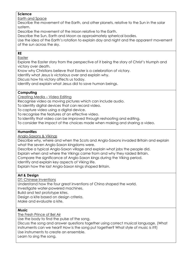#### **Science**

Earth and Space

Describe the movement of the Earth, and other planets, relative to the Sun in the solar system.

Describe the movement of the Moon relative to the Earth.

Describe the Sun, Earth and Moon as approximately spherical bodies.

Use the idea of the Earth's rotation to explain day and night and the apparent movement of the sun across the sky.

#### **RE**

Easter

Explore the Easter story from the perspective of it being the story of Christ's triumph and victory over death.

Know why Christians believe that Easter is a celebration of victory.

Identify what Jesus is victorious over and explain why.

Discuss how his victory affects us today.

Identify and explain what Jesus did to save human beings.

#### **Computing**

Creating Media – Video Editing

Recognise video as moving pictures which can include audio.

To identify digital devices that can record video.

To capture video using a digital device.

To recognise the features of an effective video.

To identify that video can be improved through reshooting and editing.

To consider the impact of the choices made when making and sharing a video.

#### **Humanities**

Anglo-Saxons & Vikings

Describe why, where and when the Scots and Anglo-Saxons invaded Britain and explain what the seven Anglo-Saxon kingdoms were.

Describe a typical Anglo-Saxon village and explain what jobs the people did.

Explain when and where the Vikings came from and why they raided Britain.

Compare the significance of Anglo-Saxon kings during the Viking period.

Identify and explain key aspects of Viking life.

Explain how the last Anglo-Saxon kings shaped Britain.

#### **Art & Design**

DT: Chinese Inventions

Understand how the four great inventions of China shaped the world.

Investigate water-powered machines.

Build and test prototype kites.

Design a kite based on design criteria.

Make and evaluate a kite.

#### **Music**

The Fresh Prince of Bel Air

Use the body to find the pulse of the song.

Discuss the song and answer questions together using correct musical language. (What instruments can we hear? How is the song put together? What style of music is it?) Use instruments to create an ensemble.

Learn to sing the song.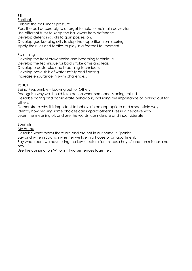#### **PE**

Football

Dribble the ball under pressure.

Pass the ball accurately to a target to help to maintain possession.

Use different turns to keep the ball away from defenders.

Develop defending skills to gain possession.

Develop goalkeeping skills to stop the opposition from scoring.

Apply the rules and tactics to play in a football tournament.

#### Swimming

Develop the front crawl stroke and breathing technique.

Develop the technique for backstroke arms and legs.

Develop breaststroke and breathing technique.

Develop basic skills of water safety and floating.

Increase endurance in swim challenges.

#### **PSHCE**

Being Responsible – Looking out for Others

Recognise why we should take action when someone is being unkind.

Describe caring and considerate behaviour, including the importance of looking out for others.

Demonstrate why it is important to behave in an appropriate and responsible way. Identify how making some choices can impact others' lives in a negative way. Learn the meaning of, and use the words, considerate and inconsiderate.

### **Spanish**

My Home

Describe what rooms there are and are not in our home in Spanish.

Say and write in Spanish whether we live in a house or an apartment.

Say what room we have using the key structure 'en mi casa hay…' and 'en mis casa no hay…'

Use the conjunction 'y' to link two sentences together.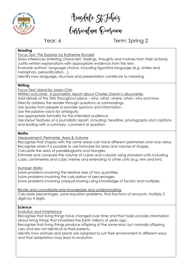

Aingdale St Fohnig<br>Cussiculum Qvesview

# Year: 6 Term: Spring 2

#### **Reading**

Focus Text: The Explorer by Katherine Rundell

Draw inferences (inferring characters' feelings, thoughts and motives from their actions). Justify written explanations with appropriate evidence from the text.

Evaluate authors' language choice, including figurative language (e.g. similes and metaphors, personification…).

Identify how language, structure and presentation contribute to meaning.

#### **Writing**

Focus Text: Island by Jason Chin

Written outcome: A journalistic report about Charles Darwin's discoveries

Add details of the 5Ws throughout piece – who, what, where, when, why and how.

Directly address the reader through questions as subheadings.

Use quotes from people to provide opinions and information.

Use the passive voice for ambiguity.

Use appropriate formality for the intended audience.

Use layout features of a journalistic report, including: headline, photographs and captions and ending with a summary, comment or question.

#### **Maths**

Measurement: Perimeter, Area & Volume

Recognise that shapes with the same areas can have different perimeters and vice versa. Recognise when it is possible to use formulae for area and volume of shapes.

Calculate the area of parallelograms and triangles.

Estimate and compare the volume of cubes and cuboids using standard units including cubic centimetres and cubic metres and extending to other units (e.g. mm and km).

Number: Ratio

Solve problems involving the relative sizes of two quantities. Solve problems involving the calculation of percentages. Solve problems involving unequal sharing using knowledge of factors and multiples.

Revise and consolidate prior knowledge and understanding: Calculate percentages, solve equation problems, find fractions of amounts, multiply 2 digits by 4 digits.

#### **Science**

Evolution and Inheritance

Recognise that living things have changed over time and that fossils provide information about living things that inhabited the Earth millions of years ago.

Recognise that living things produce offspring of the same kind, but normally offspring vary and are not identical to their parents.

Identify how animals and plants are adapted to suit their environment in different ways and that adaptation may lead to evolution.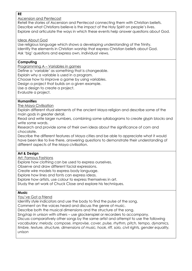#### **RE**

#### Ascension and Pentecost

Retell the stories of Ascension and Pentecost connecting them with Christian beliefs. Describe what Christians believe is the impact of the Holy Spirit on people's lives. Explore and articulate the ways in which these events help answer questions about God.

#### Ideas About God

Use religious language which shows a developing understanding of the Trinity. Identify the elements in Christian worship that express Christian beliefs about God. Ask 'big' questions and express own, individual views.

#### **Computing**

Programming A – Variables in games

Define a 'variable' as something that is changeable.

Explain why a variable is used in a program.

Choose how to improve a game by using variables.

Design a project that builds on a given example.

Use a design to create a project.

Evaluate a project.

#### **Humanities**

The Maya Civilisation

Explain different ritual elements of the ancient Maya religion and describe some of the main gods in greater detail.

Read and write larger numbers, combining some syllabograms to create glyph blocks and write some words.

Research and provide some of their own ideas about the significance of corn and chocolate.

Describe the different features of Maya cities and be able to appreciate what it would have been like to live there, answering questions to demonstrate their understanding of different aspects of the Maya civilisation.

#### **Art & Design**

Art: Famous Fashions

Explore how clothing can be used to express ourselves.

Observe and draw different facial expressions.

Create wire models to express body language.

Explore how lines and fonts can express ideas.

Explore how artists, use colour to express themselves in art.

Study the art work of Chuck Close and explore his techniques.

#### **Music**

You've Got a Friend

Identify style indicators and use the body to find the pulse of the song.

Comment on the voices heard and discuss the genre of music.

Describe both the musical dimensions and the structure of the song.

Sing/rap in unison with others – use glockenspiel or recorders to accompany.

Discuss comparatively other songs by the same artist and attempt to use the following vocabulary: *melody, compose, improvise, cover, pulse, rhythm, pitch, tempo, dynamics, timbre, texture, structure, dimensions of music, hook, riff, solo, civil rights, gender equality, unison*